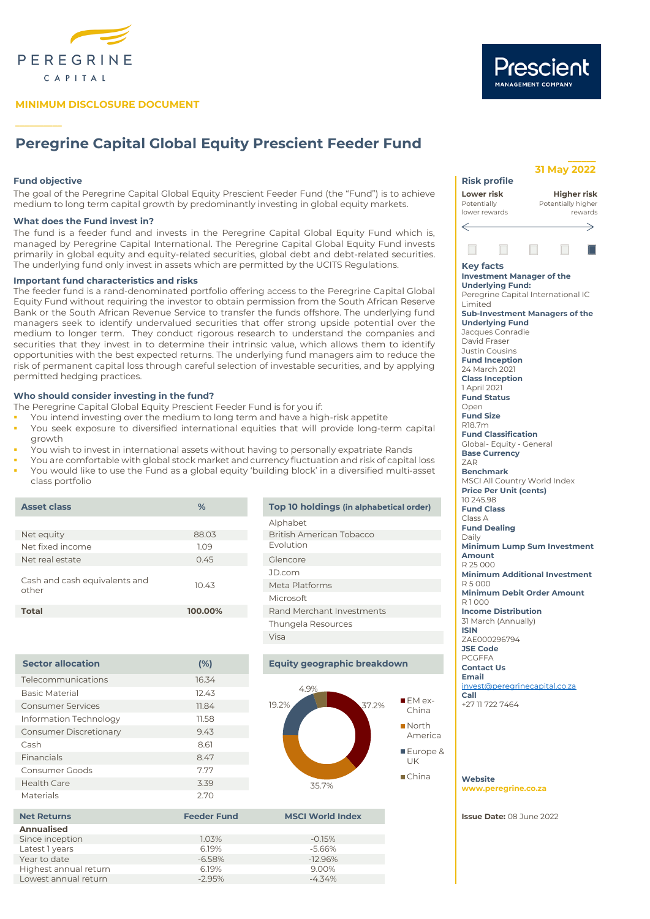

# **MINIMUM DISCLOSURE DOCUMENT**

# **Peregrine Capital Global Equity Prescient Feeder Fund**

# **Fund objective and the set of the set of the set of the set of the set of the set of the set of the set of the set of the set of the set of the set of the set of the set of the set of the set of the set of the set of the**

**\_\_\_\_\_\_\_\_\_\_**

The goal of the Peregrine Capital Global Equity Prescient Feeder Fund (the "Fund") is to achieve medium to long term capital growth by predominantly investing in global equity markets.

# **What does the Fund invest in?**

The fund is a feeder fund and invests in the Peregrine Capital Global Equity Fund which is, managed by Peregrine Capital International. The Peregrine Capital Global Equity Fund invests primarily in global equity and equity-related securities, global debt and debt-related securities. The underlying fund only invest in assets which are permitted by the UCITS Regulations. **Key facts** 

## **Important fund characteristics and risks**

The feeder fund is a rand-denominated portfolio offering access to the Peregrine Capital Global Equity Fund without requiring the investor to obtain permission from the South African Reserve Bank or the South African Revenue Service to transfer the funds offshore. The underlying fund managers seek to identify undervalued securities that offer strong upside potential over the medium to longer term. They conduct rigorous research to understand the companies and securities that they invest in to determine their intrinsic value, which allows them to identify opportunities with the best expected returns. The underlying fund managers aim to reduce the risk of permanent capital loss through careful selection of investable securities, and by applying permitted hedging practices.

# **Who should consider investing in the fund?**

The Peregrine Capital Global Equity Prescient Feeder Fund is for you if:

- You intend investing over the medium to long term and have a high-risk appetite
- You seek exposure to diversified international equities that will provide long-term capital growth
- You wish to invest in international assets without having to personally expatriate Rands
- You are comfortable with global stock market and currency fluctuation and risk of capital loss
- You would like to use the Fund as a global equity 'building block' in a diversified multi-asset class portfolio

| <b>Asset class</b>                     | %       | Top 10 holdings (in alphabetical order) |
|----------------------------------------|---------|-----------------------------------------|
|                                        |         | Alphabet                                |
| Net equity                             | 88.03   | British American Tobacco                |
| Net fixed income                       | 1.09    | Evolution                               |
| Net real estate                        | 0.45    | Glencore                                |
|                                        |         | JD.com                                  |
| Cash and cash equivalents and<br>other | 10.43   | Meta Platforms                          |
|                                        |         | <b>Microsoft</b>                        |
| <b>Total</b>                           | 100.00% | Rand Merchant Investments               |
|                                        |         | Thungela Resources                      |
|                                        |         |                                         |

| <b>Sector allocation</b>      | (%)   |
|-------------------------------|-------|
| Telecommunications            | 16.34 |
| <b>Basic Material</b>         | 12.43 |
| <b>Consumer Services</b>      | 11.84 |
| Information Technology        | 11.58 |
| <b>Consumer Discretionary</b> | 9.43  |
| Cash                          | 8.61  |
| <b>Financials</b>             | 8.47  |
| Consumer Goods                | 7.77  |
| <b>Health Care</b>            | 3.39  |
| Materials                     | 2.70  |

**Annualised** Since inception Latest 1 years Year to date

Highest annual return 6.19% 9.00% Lowest annual return

Visa

# **Equity geographic breakdown**



## **Net Returns Feeder Fund MSCI World Index**

| 1.03%    | $-0.15%$  |
|----------|-----------|
| 6.19%    | $-5.66%$  |
| $-6.58%$ | $-12.96%$ |
| 6.19%    | 9.00%     |
| $-2.95%$ | $-4.34\%$ |
|          |           |

#### **Lower risk Higher risk** Potentially Potentially higher lower rewards rewards  $\overline{\phantom{0}}$  $\Box$ **Investment Manager of the Underlying Fund:** Peregrine Capital International IC Limited **Sub-Investment Managers of the Underlying Fund** Jacques Conradie David Fraser Justin Cousins **Fund Inception** 24 March 2021 **Class Inception** 1 April 2021 **Fund Status** Open **Fund Size** R18.7m **Fund Classification** Global- Equity - General **Base Currency** ZAR **Benchmark** MSCI All Country World Index **Price Per Unit (cents)** 10 245.98 **Fund Class** Class A **Fund Dealing** Daily

∠

**Minimum Lump Sum Investment Amount** R 25 000 **Minimum Additional Investment**  $D 5 000$ **Minimum Debit Order Amount** R 1 000 **Income Distribution** 31 March (Annually) **ISIN** ZAE000296794 **JSE Code** PCGFFA **Contact Us Email**

[invest@peregrinecapital.co.za](mailto:invest@peregrinecapital.co.za) **Call**  +27 11 722 7464

#### **Website [www.peregrine.co.za](http://www.peregrinecapital.co.za/)**

**Issue Date:** 08 June 2022

# **31 May 2022**

Prescient

**\_\_\_\_\_\_**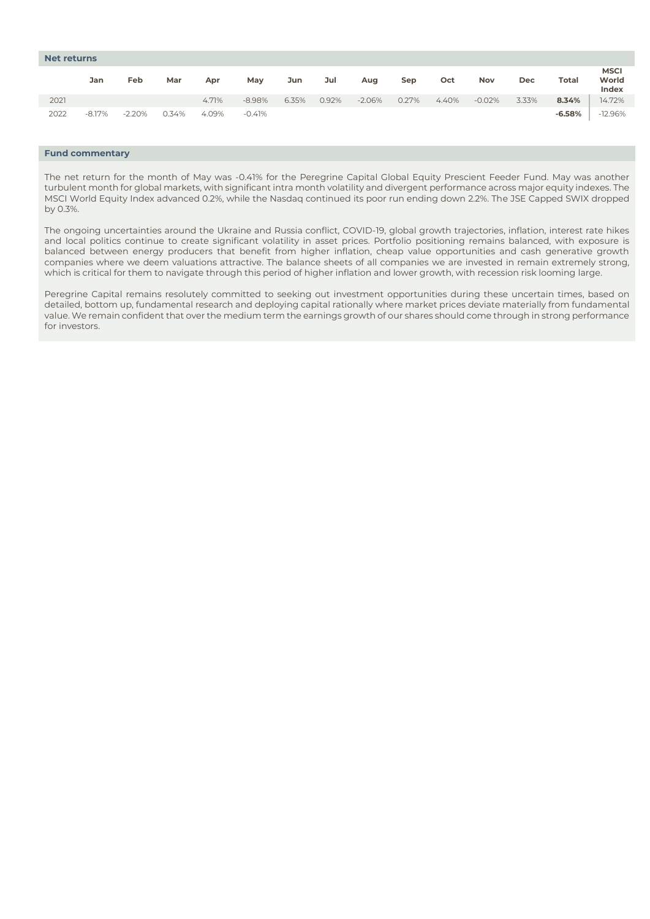| <b>Net returns</b> |          |          |       |       |          |       |       |          |       |       |            |       |          |                               |
|--------------------|----------|----------|-------|-------|----------|-------|-------|----------|-------|-------|------------|-------|----------|-------------------------------|
|                    | Jan      | Feb      | Mar   | Apr   | May      | Jun   | Jul   | Aug      | Sep   | Oct   | <b>Nov</b> | Dec   | Total    | <b>MSCI</b><br>World<br>Index |
| 2021               |          |          |       | 4.71% | $-8.98%$ | 6.35% | 0.92% | $-2.06%$ | 0.27% | 4.40% | $-0.02%$   | 3.33% | 8.34%    | 14.72%                        |
| 2022               | $-8.17%$ | $-2.20%$ | 0.34% | 4.09% | -0.41%   |       |       |          |       |       |            |       | $-6.58%$ | $-12.96%$                     |

# **Fund commentary**

The net return for the month of May was -0.41% for the Peregrine Capital Global Equity Prescient Feeder Fund. May was another turbulent month for global markets, with significant intra month volatility and divergent performance across major equity indexes. The MSCI World Equity Index advanced 0.2%, while the Nasdaq continued its poor run ending down 2.2%. The JSE Capped SWIX dropped by 0.3%.

The ongoing uncertainties around the Ukraine and Russia conflict, COVID-19, global growth trajectories, inflation, interest rate hikes and local politics continue to create significant volatility in asset prices. Portfolio positioning remains balanced, with exposure is balanced between energy producers that benefit from higher inflation, cheap value opportunities and cash generative growth companies where we deem valuations attractive. The balance sheets of all companies we are invested in remain extremely strong, which is critical for them to navigate through this period of higher inflation and lower growth, with recession risk looming large.

Peregrine Capital remains resolutely committed to seeking out investment opportunities during these uncertain times, based on detailed, bottom up, fundamental research and deploying capital rationally where market prices deviate materially from fundamental value. We remain confident that over the medium term the earnings growth of our shares should come through in strong performance for investors.